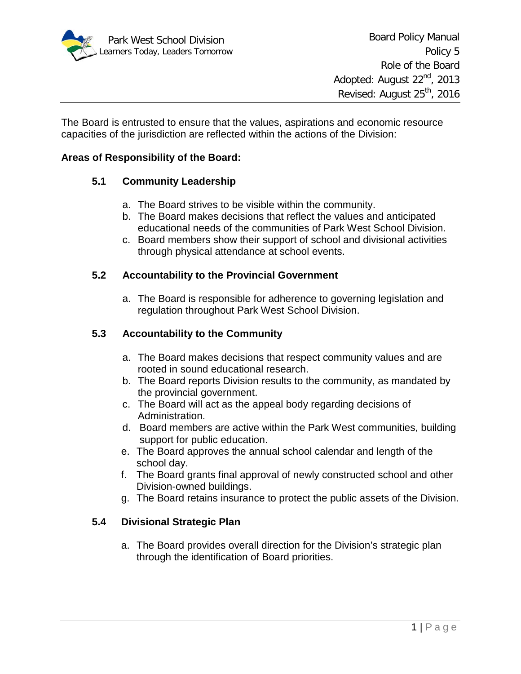

The Board is entrusted to ensure that the values, aspirations and economic resource capacities of the jurisdiction are reflected within the actions of the Division:

## **Areas of Responsibility of the Board:**

## **5.1 Community Leadership**

- a. The Board strives to be visible within the community.
- b. The Board makes decisions that reflect the values and anticipated educational needs of the communities of Park West School Division.
- c. Board members show their support of school and divisional activities through physical attendance at school events.

## **5.2 Accountability to the Provincial Government**

a. The Board is responsible for adherence to governing legislation and regulation throughout Park West School Division.

# **5.3 Accountability to the Community**

- a. The Board makes decisions that respect community values and are rooted in sound educational research.
- b. The Board reports Division results to the community, as mandated by the provincial government.
- c. The Board will act as the appeal body regarding decisions of Administration.
- d. Board members are active within the Park West communities, building support for public education.
- e. The Board approves the annual school calendar and length of the school day.
- f. The Board grants final approval of newly constructed school and other Division-owned buildings.
- g. The Board retains insurance to protect the public assets of the Division.

#### **5.4 Divisional Strategic Plan**

a. The Board provides overall direction for the Division's strategic plan through the identification of Board priorities.